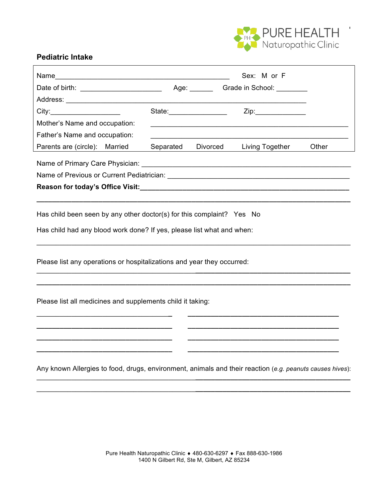

٦

## **Pediatric Intake**

|                                                                                                                                                                                                                                |                                                                                                                                                                                                                                |          | Sex: M or F                               |       |
|--------------------------------------------------------------------------------------------------------------------------------------------------------------------------------------------------------------------------------|--------------------------------------------------------------------------------------------------------------------------------------------------------------------------------------------------------------------------------|----------|-------------------------------------------|-------|
|                                                                                                                                                                                                                                |                                                                                                                                                                                                                                |          |                                           |       |
| Address: __________________________                                                                                                                                                                                            |                                                                                                                                                                                                                                |          |                                           |       |
| City:                                                                                                                                                                                                                          | State: and the state of the state of the state of the state of the state of the state of the state of the state of the state of the state of the state of the state of the state of the state of the state of the state of the |          | $\mathsf{Zip:}\qquad \qquad \blacksquare$ |       |
| Mother's Name and occupation:                                                                                                                                                                                                  |                                                                                                                                                                                                                                |          |                                           |       |
| Father's Name and occupation:                                                                                                                                                                                                  |                                                                                                                                                                                                                                |          |                                           |       |
| Parents are (circle): Married                                                                                                                                                                                                  | Separated                                                                                                                                                                                                                      | Divorced | Living Together                           | Other |
|                                                                                                                                                                                                                                |                                                                                                                                                                                                                                |          |                                           |       |
| Name of Previous or Current Pediatrician: Name of Previous Contract of Previous Contract of Previous Contract Contract of Contract Contract Contract Contract Contract Contract Contract Contract Contract Contract Contract C |                                                                                                                                                                                                                                |          |                                           |       |
|                                                                                                                                                                                                                                |                                                                                                                                                                                                                                |          |                                           |       |
|                                                                                                                                                                                                                                |                                                                                                                                                                                                                                |          |                                           |       |
| Has child been seen by any other doctor(s) for this complaint? Yes No                                                                                                                                                          |                                                                                                                                                                                                                                |          |                                           |       |
|                                                                                                                                                                                                                                |                                                                                                                                                                                                                                |          |                                           |       |
| Has child had any blood work done? If yes, please list what and when:                                                                                                                                                          |                                                                                                                                                                                                                                |          |                                           |       |
|                                                                                                                                                                                                                                |                                                                                                                                                                                                                                |          |                                           |       |
| Please list any operations or hospitalizations and year they occurred:                                                                                                                                                         |                                                                                                                                                                                                                                |          |                                           |       |
|                                                                                                                                                                                                                                |                                                                                                                                                                                                                                |          |                                           |       |
|                                                                                                                                                                                                                                |                                                                                                                                                                                                                                |          |                                           |       |
| Please list all medicines and supplements child it taking:                                                                                                                                                                     |                                                                                                                                                                                                                                |          |                                           |       |
|                                                                                                                                                                                                                                |                                                                                                                                                                                                                                |          |                                           |       |
|                                                                                                                                                                                                                                |                                                                                                                                                                                                                                |          |                                           |       |
|                                                                                                                                                                                                                                |                                                                                                                                                                                                                                |          |                                           |       |
|                                                                                                                                                                                                                                |                                                                                                                                                                                                                                |          |                                           |       |
|                                                                                                                                                                                                                                |                                                                                                                                                                                                                                |          |                                           |       |
| Any known Allergies to food, drugs, environment, animals and their reaction (e.g. peanuts causes hives):                                                                                                                       |                                                                                                                                                                                                                                |          |                                           |       |
|                                                                                                                                                                                                                                |                                                                                                                                                                                                                                |          |                                           |       |

\_\_\_\_\_\_\_\_\_\_\_\_\_\_\_\_\_\_\_\_\_\_\_\_\_\_\_\_\_\_\_\_\_\_\_\_\_\_\_\_\_**\_\_\_\_\_\_\_\_\_\_\_\_\_\_\_\_\_\_\_\_\_\_\_\_\_\_\_\_\_\_\_\_\_\_\_\_\_\_\_\_**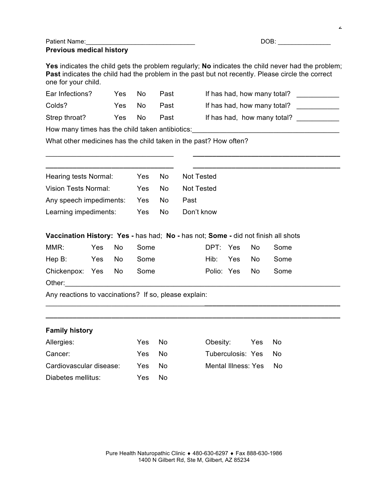| <b>Patient Name:</b>            | DOB: |
|---------------------------------|------|
| <b>Previous medical history</b> |      |

2

**Yes** indicates the child gets the problem regularly; **No** indicates the child never had the problem; Past indicates the child had the problem in the past but not recently. Please circle the correct one for your child.

| Ear Infections?                                 | Yes. | No. | Past | If has had, how many total? |  |  |
|-------------------------------------------------|------|-----|------|-----------------------------|--|--|
| Colds?                                          | Yes  | No. | Past | If has had, how many total? |  |  |
| Strep throat?                                   | Yes  | No. | Past | If has had, how many total? |  |  |
| How many times has the child taken antibiotics: |      |     |      |                             |  |  |

What other medicines has the child taken in the past? How often?

| Hearing tests Normal:          | Yes | - No | Not Tested |
|--------------------------------|-----|------|------------|
| Vision Tests Normal:           | Yes | No.  | Not Tested |
| Any speech impediments: Yes No |     |      | Past       |
| Learning impediments:          | Yes | No.  | Don't know |

\_\_\_\_\_\_\_\_\_\_\_\_\_\_\_\_\_\_\_\_\_\_\_\_\_\_\_\_\_\_\_\_\_\_\_\_\_\_\_\_\_**\_\_\_\_\_\_\_\_\_\_\_\_\_\_\_\_\_\_\_\_\_\_\_\_\_\_\_\_\_\_\_\_\_\_\_ \_\_\_\_\_\_\_\_\_\_\_\_\_\_\_\_\_\_\_\_\_\_\_\_\_\_\_\_\_\_\_\_\_\_\_\_\_\_\_\_\_\_\_\_\_\_\_\_\_\_\_\_\_\_\_\_\_\_\_\_\_\_\_\_\_\_\_\_\_\_\_\_\_\_\_\_**

\_\_\_\_\_\_\_\_\_\_\_\_\_\_\_\_\_\_\_\_\_\_\_\_\_\_\_\_\_\_\_\_\_ **\_\_\_\_\_\_\_\_\_\_\_\_\_\_\_\_\_\_\_\_\_\_\_\_\_\_\_\_\_\_\_\_\_\_\_\_\_\_**

|  | Vaccination History: Yes - has had; No - has not; Some - did not finish all shots |
|--|-----------------------------------------------------------------------------------|
|--|-----------------------------------------------------------------------------------|

| MMR:                    | Yes No | Some |  | DPT: Yes No Some   |  |
|-------------------------|--------|------|--|--------------------|--|
| Hep B: Yes No Some      |        |      |  | Hib: Yes No Some   |  |
| Chickenpox: Yes No Some |        |      |  | Polio: Yes No Some |  |
| Other:                  |        |      |  |                    |  |

Any reactions to vaccinations? If so, please explain:

## **Family history**

| Allergies:              | Yes No |     | Obesity:<br>Yes        | No. |
|-------------------------|--------|-----|------------------------|-----|
| Cancer:                 | Yes No |     | Tuberculosis: Yes No   |     |
| Cardiovascular disease: | Yes.   | No. | Mental Illness: Yes No |     |
| Diabetes mellitus:      | Yes.   | No. |                        |     |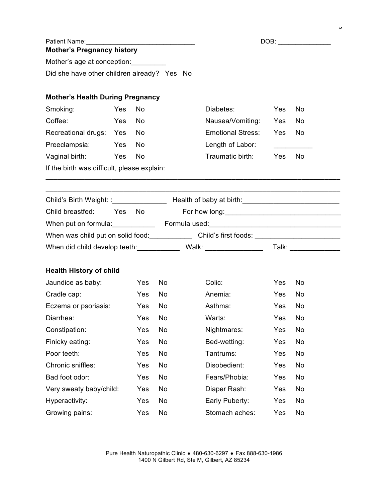|                                                                                                               |        |            |     |                                                                                                            |            |      | J |
|---------------------------------------------------------------------------------------------------------------|--------|------------|-----|------------------------------------------------------------------------------------------------------------|------------|------|---|
| Patient Name: 1990 - 1990 - 1991 - 1992 - 1993 - 1994 - 1994 - 1994 - 1994 - 1994 - 1994 - 1994 - 1995 - 1996 |        |            |     |                                                                                                            |            | DOB: |   |
| <b>Mother's Pregnancy history</b>                                                                             |        |            |     |                                                                                                            |            |      |   |
| Mother's age at conception:                                                                                   |        |            |     |                                                                                                            |            |      |   |
| Did she have other children already? Yes No                                                                   |        |            |     |                                                                                                            |            |      |   |
| <b>Mother's Health During Pregnancy</b>                                                                       |        |            |     |                                                                                                            |            |      |   |
| Smoking:                                                                                                      | Yes    | No         |     | Diabetes:                                                                                                  | Yes        | No   |   |
| Coffee:                                                                                                       | Yes    | No         |     | Nausea/Vomiting:                                                                                           | Yes        | No   |   |
| Recreational drugs: Yes                                                                                       |        | No         |     | <b>Emotional Stress:</b>                                                                                   | Yes        | No   |   |
| Preeclampsia: Yes                                                                                             |        | No         |     | Length of Labor:                                                                                           |            |      |   |
| Vaginal birth:                                                                                                | Yes    | No         |     | Traumatic birth:                                                                                           | Yes        | No   |   |
| If the birth was difficult, please explain:                                                                   |        |            |     |                                                                                                            |            |      |   |
|                                                                                                               |        |            |     |                                                                                                            |            |      |   |
|                                                                                                               |        |            |     |                                                                                                            |            |      |   |
| Child breastfed:                                                                                              | Yes No |            |     |                                                                                                            |            |      |   |
|                                                                                                               |        |            |     |                                                                                                            |            |      |   |
|                                                                                                               |        |            |     | When was child put on solid food: Child's first foods: _________________________                           |            |      |   |
|                                                                                                               |        |            |     | When did child develop teeth: _______________ Walk: ____________________________ Talk: ___________________ |            |      |   |
| <b>Health History of child</b>                                                                                |        |            |     |                                                                                                            |            |      |   |
| Jaundice as baby:                                                                                             |        | <b>Yes</b> | No. | Colic:                                                                                                     | Yes        | No   |   |
| Cradle cap:                                                                                                   |        | <b>Yes</b> | No  | Anemia:                                                                                                    | <b>Yes</b> | No   |   |
| Eczema or psoriasis:                                                                                          |        | Yes        | No  | Asthma:                                                                                                    | Yes        | No   |   |
| Diarrhea:                                                                                                     |        | Yes        | No  | Warts:                                                                                                     | Yes        | No   |   |
| Constipation:                                                                                                 |        | Yes        | No  | Nightmares:                                                                                                | Yes        | No   |   |
| Finicky eating:                                                                                               |        | Yes        | No  | Bed-wetting:                                                                                               | Yes        | No   |   |
| Poor teeth:                                                                                                   |        | Yes        | No  | Tantrums:                                                                                                  | Yes        | No   |   |
| Chronic sniffles:                                                                                             |        | Yes        | No  | Disobedient:                                                                                               | Yes        | No   |   |
| Bad foot odor:                                                                                                |        | Yes        | No  | Fears/Phobia:                                                                                              | Yes        | No   |   |
| Very sweaty baby/child:                                                                                       |        | Yes        | No  | Diaper Rash:                                                                                               | Yes        | No   |   |
| Hyperactivity:                                                                                                |        | Yes        | No  | Early Puberty:                                                                                             | Yes        | No   |   |
| Growing pains:                                                                                                |        | Yes        | No  | Stomach aches:                                                                                             | Yes        | No   |   |

 $\circ$